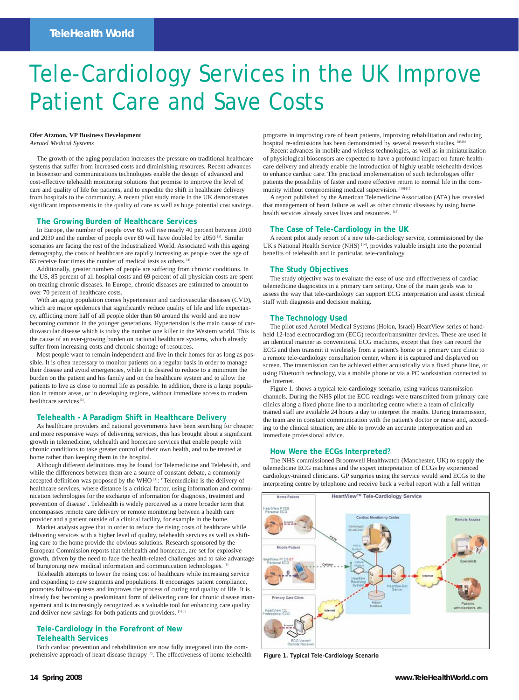# Tele-Cardiology Services in the UK Improve Patient Care and Save Costs

# **Ofer Atzmon, VP Business Development**

*Aerotel Medical Systems*

The growth of the aging population increases the pressure on traditional healthcare systems that suffer from increased costs and diminishing resources. Recent advances in biosensor and communications technologies enable the design of advanced and cost-effective telehealth monitoring solutions that promise to improve the level of care and quality of life for patients, and to expedite the shift in healthcare delivery from hospitals to the community. A recent pilot study made in the UK demonstrates significant improvements in the quality of care as well as huge potential cost savings.

# **The Growing Burden of Healthcare Services**

In Europe, the number of people over 65 will rise nearly 40 percent between 2010 and 2030 and the number of people over 80 will have doubled by 2050<sup>[1]</sup>. Similar scenarios are facing the rest of the Industrialized World. Associated with this ageing demography, the costs of healthcare are rapidly increasing as people over the age of 65 receive four times the number of medical tests as others. [2]

Additionally, greater numbers of people are suffering from chronic conditions. In the US, 85 percent of all hospital costs and 69 percent of all physician costs are spent on treating chronic diseases. In Europe, chronic diseases are estimated to amount to over 70 percent of healthcare costs.

With an aging population comes hypertension and cardiovascular diseases (CVD), which are major epidemics that significantly reduce quality of life and life expectancy, afflicting more half of all people older than 60 around the world and are now becoming common in the younger generations. Hypertension is the main cause of cardiovascular disease which is today the number one killer in the Western world. This is the cause of an ever-growing burden on national healthcare systems, which already suffer from increasing costs and chronic shortage of resources.

Most people want to remain independent and live in their homes for as long as possible. It is often necessary to monitor patients on a regular basis in order to manage their disease and avoid emergencies, while it is desired to reduce to a minimum the burden on the patient and his family and on the healthcare system and to allow the patients to live as close to normal life as possible. In addition, there is a large population in remote areas, or in developing regions, without immediate access to modem healthcare services<sup>[3]</sup>.

# **Telehealth - A Paradigm Shift in Healthcare Delivery**

As healthcare providers and national governments have been searching for cheaper and more responsive ways of delivering services, this has brought about a significant growth in telemedicine, telehealth and homecare services that enable people with chronic conditions to take greater control of their own health, and to be treated at home rather than keeping them in the hospital.

Although different definitions may be found for Telemedicine and Telehealth, and while the differences between them are a source of constant debate, a commonly accepted definition was proposed by the WHO [4]: "Telemedicine is the delivery of healthcare services, where distance is a critical factor, using information and communication technologies for the exchange of information for diagnosis, treatment and prevention of disease". Telehealth is widely perceived as a more broader term that encompasses remote care delivery or remote monitoring between a health care provider and a patient outside of a clinical facility, for example in the home.

Market analysts agree that in order to reduce the rising costs of healthcare while delivering services with a higher level of quality, telehealth services as well as shifting care to the home provide the obvious solutions. Research sponsored by the European Commission reports that telehealth and homecare, are set for explosive growth, driven by the need to face the health-related challenges and to take advantage of burgeoning new medical information and communication technologies. [1]

Telehealth attempts to lower the rising cost of healthcare while increasing service d expanding to new segments and populations. It encourages patient compliance, promotes follow-up tests and improves the process of curing and quality of life. It is already fast becoming a predominant form of delivering care for chronic disease management and is increasingly recognized as a valuable tool for enhancing care quality and deliver new savings for both patients and providers. [5],[6]

## **Tele-Cardiology in the Forefront of New Telehealth Services**

Both cardiac prevention and rehabilitation are now fully integrated into the comprehensive approach of heart disease therapy [7]. The effectiveness of home telehealth programs in improving care of heart patients, improving rehabilitation and reducing hospital re-admissions has been demonstrated by several research studies. [8],[9]

Recent advances in mobile and wireless technologies, as well as in miniaturization of physiological biosensors are expected to have a profound impact on future healthcare delivery and already enable the introduction of highly usable telehealth devices to enhance cardiac care. The practical implementation of such technologies offer patients the possibility of faster and more effective return to normal life in the community without compromising medical supervision.  $[10]$ - $[12]$ 

A report published by the American Telemedicine Association (ATA) has revealed that management of heart failure as well as other chronic diseases by using home health services already saves lives and resources. [13]

# **The Case of Tele-Cardiology in the UK**

A recent pilot study report of a new tele-cardiology service, commissioned by the UK's National Health Service (NHS)<sup>[14]</sup>, provides valuable insight into the potential benefits of telehealth and in particular, tele-cardiology.

### **The Study Objectives**

The study objective was to evaluate the ease of use and effectiveness of cardiac telemedicine diagnostics in a primary care setting. One of the main goals was to assess the way that tele-cardiology can support ECG interpretation and assist clinical staff with diagnosis and decision making.

### **The Technology Used**

The pilot used Aerotel Medical Systems (Holon, Israel) HeartView series of handheld 12-lead electrocardiogram (ECG) recorder/transmitter devices. These are used in an identical manner as conventional ECG machines, except that they can record the ECG and then transmit it wirelessly from a patient's home or a primary care clinic to a remote tele-cardiology consultation center, where it is captured and displayed on screen. The transmission can be achieved either acoustically via a fixed phone line, or using Bluetooth technology, via a mobile phone or via a PC workstation connected to the Internet.

Figure 1. shows a typical tele-cardiology scenario, using various transmission channels. During the NHS pilot the ECG readings were transmitted from primary care clinics along a fixed phone line to a monitoring centre where a team of clinically trained staff are available 24 hours a day to interpret the results. During transmission, the team are in constant communication with the patient's doctor or nurse and, according to the clinical situation, are able to provide an accurate interpretation and an immediate professional advice.

### **How Were the ECGs Interpreted?**

The NHS commissioned Broomwell Healthwatch (Manchester, UK) to supply the telemedicine ECG machines and the expert interpretation of ECGs by experienced cardiology-trained clinicians. GP surgeries using the service would send ECGs to the interpreting centre by telephone and receive back a verbal report with a full written



**Figure 1. Typical Tele-Cardiology Scenario**